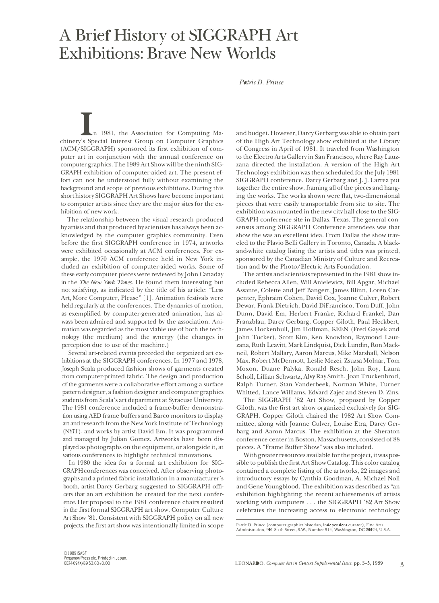## **A Brief History ot SIGGRAPH Art Exhibitions: Brave New Worlds**

## *Patric D. Prince*

n 1981, the Association for Computing Machinery's Special Interest Group on Computer Graphics (ACM/SIGGRAPH) sponsored its first exhibition of computer art in conjunction with the annual conference on computer graphics. The 1989 Art Show will be the ninth SIG-GRAPH exhibition of computer-aided art. The present effort can not be understood fully without examining the background and scope of previous exhibitions. During this short history SIGGRAPH Art Shows have become important to computer artists since they are the major sites for the exhibition of new work.

The relationship between the visual research produced by artists and that produced by scientists has always been acknowledged by the computer graphics community. Even before the first SIGGRAPH conference in 1974, artworks were exhibited occasionally at ACM conferences. For example, the 1970 ACM conference held in New York included an exhibition of computer-aided works. Some of these early computer pieces were reviewed by John Canaday in the *The New York Times.* He found them interesting but not satisfying, as indicated by the title of his article: "Less Art, More Computer, Please" [l). Animation festivals were held regularly at the conferences. The dynamics of motion, as exemplified by computer-generated animation, has always been admired and supported by the association. Animation was regarded as the most viable use of both the technology (the medium) and the synergy (the changes in perception due to use of the machine.)

Several art-related events preceded the organized art exhibitions at the SIGGRAPH conferences. In 1977 and 1978, Joseph Scala produced fashion shows of garments created from computer-printed fabric. The design and production of the garments were a collaborative effort among a surface pattern designer, a fashion designer and computer graphics students from Scala's art department at Syracuse University. The 1981 conference included a frame-buffer demonstration using AED frame buffers and Barco monitors to display art and research from the New York Institute of Technology (NYIT), and works by artist David Em. It was programmed and managed by Julian Gomez. Artworks have been displayed as photographs on the equipment, or alongside it, at various conferences to highlight technical innovations.

In 1980 the idea for a formal art exhibition for SIG-GRAPH conferences was conceived. After observing photographs and a printed fabric installation in a manufacturer's booth, artist Darcy Gerbarg suggested to SIGGRAPH officers that an art exhibition be created for the next conference. Her proposal to the 1981 conference chairs resulted in the first formal **SIGGRAPH** art show, Computer Culture Art Show '81 . Consistent with **SIGGRAPH** policy on all new projects, the first art show was intentionally limited in scope

and budget. However, Darcy Gerbarg was able to obtain part of the High Art Technology show exhibited at the Library of Congress in April of 1981. It traveled from Washington to the Electro Arts Gallery in San Francisco, where Ray Lauzzana directed the installation. A version of the High Art Technology exhibition was then scheduled for the July 1981 SIGGRAPH conference. Darcy Gerbarg and J. J. Larrea put together the entire show, framing all of the pieces and hanging the works. The works shown were flat, two-dimensional pieces that were easily transportable from site to site. The exhibition was mounted in the new city hall close to the SIG-GRAPH conference site in Dallas, Texas. The general consensus among SIGGRAPH Conference attendees was that show the was an excellent idea. From Dallas the show traveled to the Flavio Belli Gallery in Toronto, Canada. A blackand-white catalog listing the artists and titles was printed, sponsored by the Canadian Ministry of Culture and Recreation and by the Photo/Electric Arts Foundation.

The artists and scientists represented in the 1981 show included Rebecca Allen, Will Anielewicz, Bill Apgar, Michael Assante, Colette and Jeff Bangert, James Blinn, Loren Carpenter, Ephraim Cohen, David Cox, Joanne Culver, Robert Dewar, Frank Dietrich, David DiFrancisco, Tom Duff, John Dunn, David Em, Herbert Franke, Richard Frankel, Dan Franzblau, Darcy Gerbarg, Copper Giloth, Paul Heckbert, James Hockenhull, Jim Hoffman, KEEN (Fred Gaysek and John Tucker), Scott Kim, Ken Knowlton, Raymond Lauzzana, Ruth Leavitt, Mark Lindquist, Dick Lundin, Ron Mackneil, Robert Mallary, Aaron Marcus, Mike Marshall, Nelson Max, Robert McDermott, Leslie Mezei, Zsuzsa Molnar, Tom Moxon, Duane Palyka, Ronald Resch, John Roy, Laura Scholl, Lillian Schwartz, Alvy Ray Smith, Joan Truckenbrod, Ralph Turner, Stan Vanderbeek, Norman White, Turner Whitted, Lance Williams, Edvard Zajec and Steven D. Zins.

The SIGGRAPH '82 Art Show, proposed by Copper Giloth, was the first art show organized exclusively for SIG-GRAPH. Copper Giloth chaired the 1982 Art Show Committee, along with Joanne Culver, Louise Etra, Darcy Gerbarg and Aaron Marcus. The exhibition at the Sheraton conference center in Boston, Massachusetts, consisted of 88 pieces. A "Frame Buffer Show" was also included.

With greater resources available for the project, it was possible to publish the first Art Show Catalog. This color catalog contained a complete listing of the artworks, 22 images and introductory essays by Cynthia Goodman, A. Michael Noll and Gene Youngblood. The exhibition was described as "an exhibition highlighting the recent achievements of artists working with computers ... the SIGGRAPH '82 Art Show celebrates the increasing access to electronic technology

**Patric D. Prince (computer graphics historian, independent curator), Fine Arts Administration, 901 Sixth Street, S.W., Number 914, Washington, DC 20024, U.S.A.**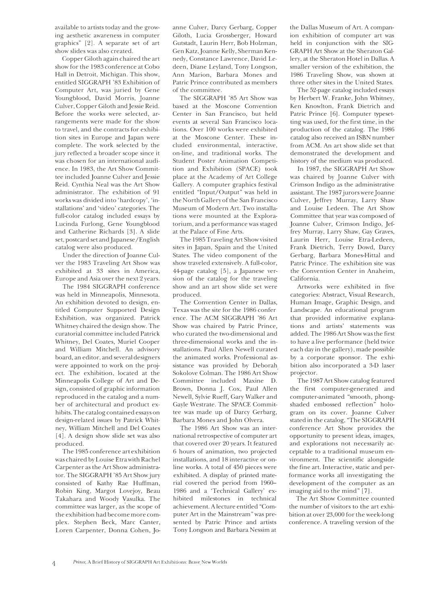available to artists today and the growing aesthetic awareness in computer graphics" [2]. A separate set of art show slides was also created.

Copper Giloth again chaired the art show for the 1983 conference at Cobo Hall in Detroit, Michigan. This show, entitled SIGGRAPH '83 Exhibition of Computer Art, was juried by Gene Youngblood, David Morris, Joanne Culver, Copper Giloth and Jessie Reid. Before the works were selected, arrangements were made for the show to travel, and the contracts for exhibition sites in Europe and Japan were complete. The work selected by the jury reflected a broader scope since it was chosen for an international audience. In 1983, the Art Show Committee included Joanne Culver and Jessie Reid. Cynthia Neal was the Art Show administrator. The exhibition of 91 works was divided into 'hardcopy', 'installations' and 'video' categories. The full-color catalog included essays by Lucinda Furlong, Gene Youngblood and Catherine Richards [3]. A slide set, postcard set and Japanese/English catalog were also produced.

Under the direction of Joanne Culver the 1983 Traveling Art Show was exhibited at 33 sites in America, Europe and Asia over the next 2 years.

The 1984 SIGGRAPH conference was held in Minneapolis, Minnesota. An exhibition devoted to design, entitled Computer Supported Design Exhibition, was organized. Patrick Whitney chaired the design show. The curatorial committee included Patrick Whitney, Del Coates, Muriel Cooper and William Mitchell. An advisory board, an editor, and several designers were appointed to work on the project. The exhibition, located at the Minneapolis College of Art and Design, consisted of graphic information reproduced in the catalog and a number of architectural and product exhibits. The catalog contained essays on design-related issues by Patrick Whitney, William Mitchell and Del Coates [4]. A design show slide set was also produced.

The 1985 conference art exhibition was chaired by Louise Etra with Rachel Carpenter as the Art Show administrator. The SIGGRAPH '85 Art Show jury consisted of Kathy Rae Huffman, Robin King, Margot Lovejoy, Beau Takahara and Woody Vasulka. The committee was larger, as· the scope of the exhibition had become more complex. Stephen Beck, Marc Canter, Loren Carpenter, Donna Cohen, Jo-

anne Culver, Darcy Gerbarg, Copper Giloth, Lucia Grossberger, Howard Gutstadt, Laurin Herr, Bob Holzman, Gen Katz,Joanne Kelly, Sherman Kennedy, Constance Lawrence, David Ledeen, Diane Leyland, Tony Longson, Ann Marion, Barbara Mones and Patric Prince contributed as members of the committee.

The SIGGRAPH '85 Art Show was based at the Moscone Convention Center in San Francisco, but held events at several San Francisco locations. Over 100 works were exhibited at the Moscone Center. These included environmental, interactive, on-line, and traditional works. The Student Poster Animation Competition and Exhibition (SPACE) took place at the Academy of Art College Gallery. A computer graphics festival entitled "Input/Output" was held in the North Gallery of the San Francisco Museum of Modern Art. Two installations were mounted at the Exploratorium, and a performance was staged at the Palace of Fine Arts.

The 1985 Traveling Art Show visited sites in Japan, Spain and the United States. The video component of the show traveled extensively. A full-color, 44-page catalog [5], a Japanese version of the catalog for the traveling show and an art show slide set were produced.

The Convention Center in Dallas, Texas was the site for the 1986 confer ence. The ACM SIGGRAPH '86 Art Show was chaired by Patric Prince, who curated the two-dimensional and three-dimensional works and the installations. Paul Allen Newell curated the animated works. Professional assistance was provided by Deborah\_ Sokolove Colman. The 1986 Art Show Committee included Maxine D. Brown, Donna J. Cox, Paul Allen Newell, Sylvie Rueff, Gary Walker and Gayle Westrate. The SPACE Committee was made up of Darcy Gerbarg, Barbara Mones and John Olvera.

The 1986 Art Show was an international retrospective of computer art that covered over 20 years. It featured 6 hours of animation, two projected installations, and 18 interactive or online works. A total of 450 pieces were exhibited. A display of printed material covered the period from 1960- 1986 and a 'Technical Gallery' exhibited milestones in technical achievement. A lecture entitled "Computer Art in the Mainstream" was presented by Patric Prince and artists Tony Longson and Barbara Nessim at

the Dallas Museum of Art. A companion exhibition of computer art was held in conjunction with the SIG-GRAPH Art Show at the Sheraton Gallery, at the Sheraton Hotel in Dallas. A smaller version of the exhibition, the 1986 Traveling Show, was shown at three other sites in the United States.

The 52-page catalog included essays by Herbert W. Franke, John Whitney, Ken Knowlton, Frank Dietrich and Patric Prince [6]. Computer typesetting was used, for the first time, in the production of the catalog. The 1986 catalog also received an ISBN number from ACM. An art show slide set that demonstrated the development and history of the medium was produced.

In 1987, the SIGGRAPH Art Show was chaired by Joanne Culver with Crimson Indigo as the administrative assistant. The 1987 jurors were Joanne Culver, Jeffrey Murray, Larry Shaw and Louise Ledeen. The Art Show Committee that year was composed of Joanne Culver, Crimson Indigo, Jeffrey Murray, Larry Shaw, Gay Graves, Laurin Herr, Louise Etra-Ledeen, Frank Dietrich, Terry Dowd, Darcy Gerbarg, Barbara Mones-Hittal and Patric Prince. The exhibition site was the Convention Center in Anaheim, California.

Artworks were exhibited in five categories: Abstract, Visual Research, Human Image, Graphic Design, and Landscape. An educational program that provided informative explanations and artists' statements was added. The 1986 Art Show was the first to have a live performance (held twice each day in the gallery), made possible by a corporate sponsor. The exhibition also incorporated a 3-D laser projector.

The 1987 Art Show catalog featured the first computer-generated and computer-animated "smooth, phongshaded embossed reflection" hologram on its cover. Joanne Culver stated in the catalog, "The SIGGRAPH conference Art Show provides the opportunity to present ideas, images, and explorations not necessarily acceptable to a traditional museum environment. The scientific alongside the fine art. Interactive, static and performance works all investigating the development of the computer as an imaging aid to the mind" [7].

The Art Show Committee counted the number of visitors to the art exhibition at over 23,000 for the week-long conference. A traveling version of the